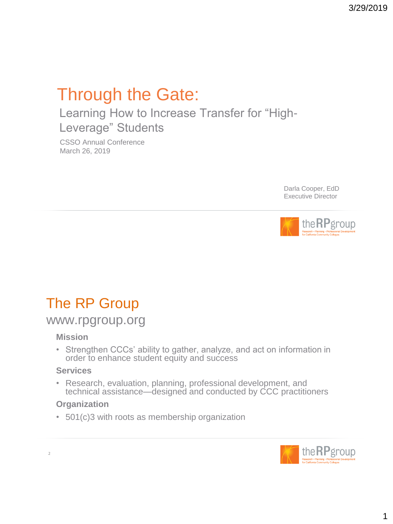# Through the Gate:

Learning How to Increase Transfer for "High-Leverage" Students

CSSO Annual Conference March 26, 2019

> Darla Cooper, EdD Executive Director



## The RP Group

www.rpgroup.org

#### **Mission**

• Strengthen CCCs' ability to gather, analyze, and act on information in order to enhance student equity and success

#### **Services**

• Research, evaluation, planning, professional development, and technical assistance—designed and conducted by CCC practitioners

#### **Organization**

• 501(c)3 with roots as membership organization

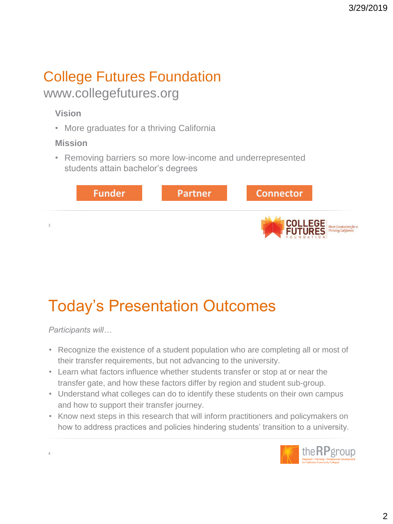# College Futures Foundation

### www.collegefutures.org

#### **Vision**

• More graduates for a thriving California

#### **Mission**

• Removing barriers so more low-income and underrepresented students attain bachelor's degrees



# Today's Presentation Outcomes

*Participants will…*

- Recognize the existence of a student population who are completing all or most of their transfer requirements, but not advancing to the university.
- Learn what factors influence whether students transfer or stop at or near the transfer gate, and how these factors differ by region and student sub-group.
- Understand what colleges can do to identify these students on their own campus and how to support their transfer journey.
- Know next steps in this research that will inform practitioners and policymakers on how to address practices and policies hindering students' transition to a university.

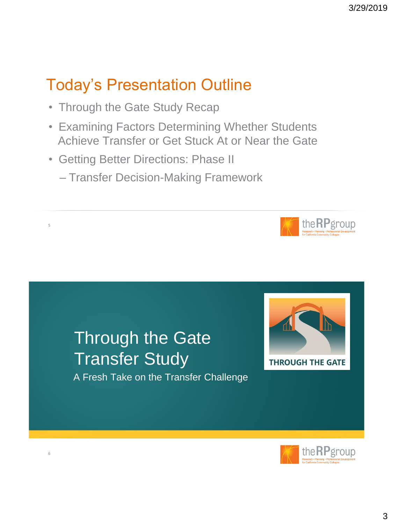# Today's Presentation Outline

- Through the Gate Study Recap
- Examining Factors Determining Whether Students Achieve Transfer or Get Stuck At or Near the Gate
- Getting Better Directions: Phase II

5

– Transfer Decision-Making Framework



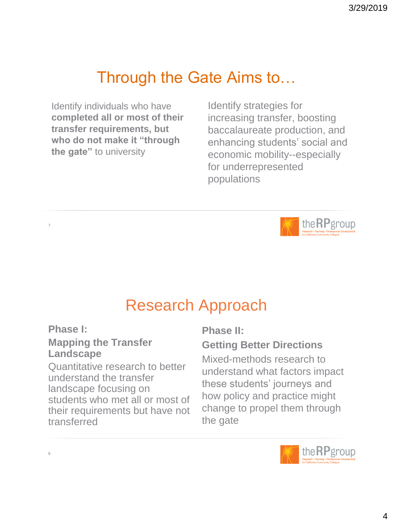## Through the Gate Aims to…

Identify individuals who have **completed all or most of their transfer requirements, but who do not make it "through the gate"** to university

Identify strategies for increasing transfer, boosting baccalaureate production, and enhancing students' social and economic mobility--especially for underrepresented populations



## Research Approach

#### **Phase I:**

7

#### **Mapping the Transfer Landscape**

Quantitative research to better understand the transfer landscape focusing on students who met all or most of their requirements but have not transferred

#### **Phase II:**

#### **Getting Better Directions**

Mixed-methods research to understand what factors impact these students' journeys and how policy and practice might change to propel them through the gate

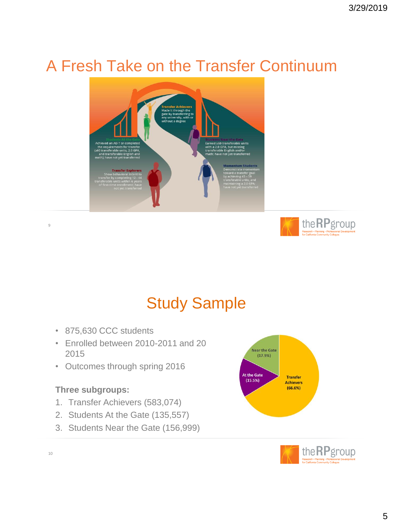# A Fresh Take on the Transfer Continuum





# Study Sample

- 875,630 CCC students
- Enrolled between 2010-2011 and 20 2015
- Outcomes through spring 2016

#### **Three subgroups:**

- 1. Transfer Achievers (583,074)
- 2. Students At the Gate (135,557)
- 3. Students Near the Gate (156,999)





9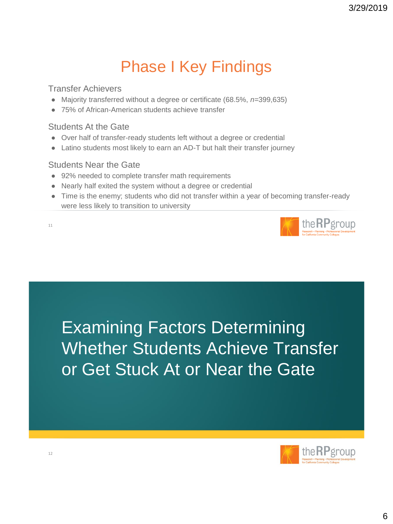## Phase I Key Findings

#### Transfer Achievers

- Majority transferred without a degree or certificate (68.5%, *n=*399,635)
- 75% of African-American students achieve transfer

#### Students At the Gate

- Over half of transfer-ready students left without a degree or credential
- Latino students most likely to earn an AD-T but halt their transfer journey

#### Students Near the Gate

- 92% needed to complete transfer math requirements
- Nearly half exited the system without a degree or credential
- Time is the enemy; students who did not transfer within a year of becoming transfer-ready were less likely to transition to university

11



theRPgroup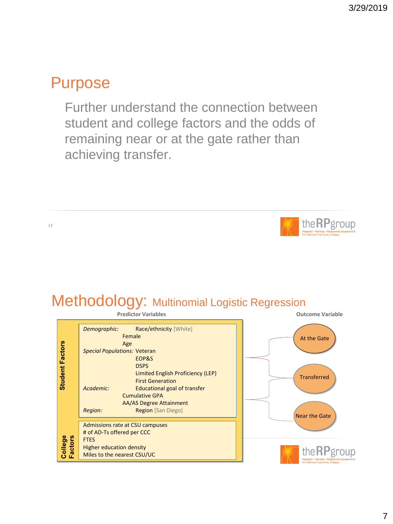## Purpose

13

Further understand the connection between student and college factors and the odds of remaining near or at the gate rather than achieving transfer.



### Methodology: Multinomial Logistic Regression

|                           | <b>Predictor Variables</b>                                                                                                                                                                                                                                                                                                                    | <b>Outcome Variable</b>                                   |
|---------------------------|-----------------------------------------------------------------------------------------------------------------------------------------------------------------------------------------------------------------------------------------------------------------------------------------------------------------------------------------------|-----------------------------------------------------------|
| <b>Factors</b><br>Student | Demographic:<br><b>Race/ethnicity [White]</b><br>Female<br>Age<br><b>Special Populations: Veteran</b><br>EOP&S<br><b>DSPS</b><br>Limited English Proficiency (LEP)<br><b>First Generation</b><br>Academic:<br>Educational goal of transfer<br><b>Cumulative GPA</b><br><b>AA/AS Degree Attainment</b><br>Region:<br><b>Region</b> [San Diego] | At the Gate<br><b>Transferred</b><br><b>Near the Gate</b> |
| College<br><b>Factors</b> | Admissions rate at CSU campuses<br># of AD-Ts offered per CCC<br><b>FTES</b><br><b>Higher education density</b><br>Miles to the nearest CSU/UC                                                                                                                                                                                                | theRPgroup<br>hr California Community Collana             |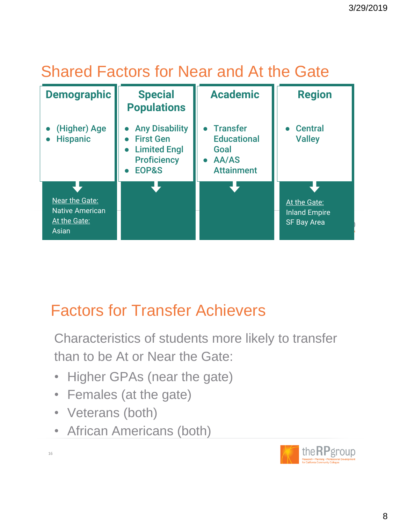# Shared Factors for Near and At the Gate



## Factors for Transfer Achievers

Characteristics of students more likely to transfer than to be At or Near the Gate:

- Higher GPAs (near the gate)
- Females (at the gate)
- Veterans (both)
- African Americans (both)

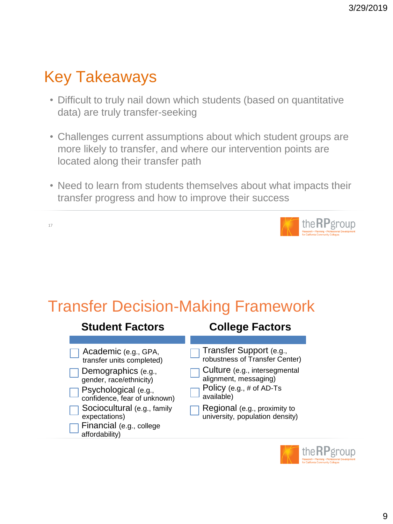## Key Takeaways

17

- Difficult to truly nail down which students (based on quantitative data) are truly transfer-seeking
- Challenges current assumptions about which student groups are more likely to transfer, and where our intervention points are located along their transfer path
- Need to learn from students themselves about what impacts their transfer progress and how to improve their success



## Transfer Decision-Making Framework

| <b>Student Factors</b>                     | <b>College Factors</b>          |
|--------------------------------------------|---------------------------------|
|                                            |                                 |
| Academic (e.g., GPA,                       | Transfer Support (e.g.,         |
| transfer units completed)                  | robustness of Transfer Center)  |
| Demographics (e.g.,                        | Culture (e.g., intersegmental   |
| gender, race/ethnicity)                    | alignment, messaging)           |
| Psychological (e.g.,                       | Policy (e.g., # of AD-Ts        |
| confidence, fear of unknown)               | available)                      |
| Sociocultural (e.g., family                | Regional (e.g., proximity to    |
| expectations)                              | university, population density) |
| Financial (e.g., college<br>affordability) |                                 |
|                                            |                                 |

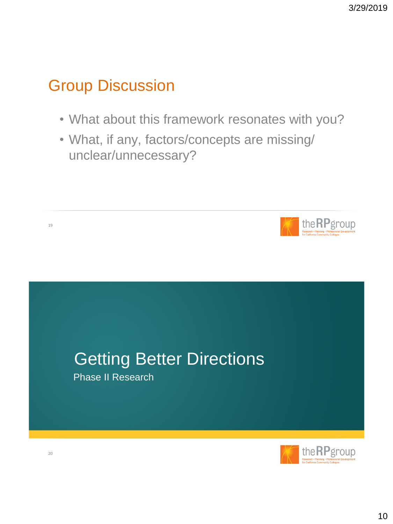## Group Discussion

19

- What about this framework resonates with you?
- What, if any, factors/concepts are missing/ unclear/unnecessary?



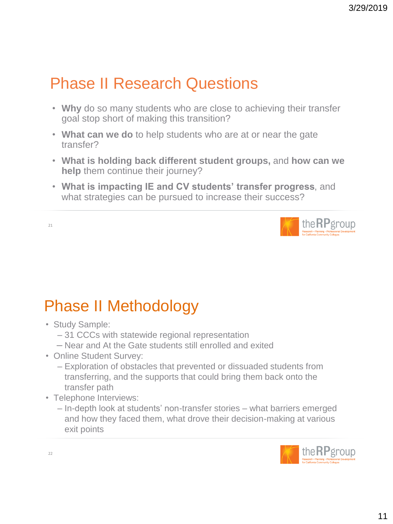## Phase II Research Questions

- **Why** do so many students who are close to achieving their transfer goal stop short of making this transition?
- **What can we do** to help students who are at or near the gate transfer?
- **What is holding back different student groups,** and **how can we help** them continue their journey?
- **What is impacting IE and CV students' transfer progress**, and what strategies can be pursued to increase their success?

21



- Study Sample:
	- 31 CCCs with statewide regional representation
	- Near and At the Gate students still enrolled and exited
- Online Student Survey:
	- Exploration of obstacles that prevented or dissuaded students from transferring, and the supports that could bring them back onto the transfer path
- Telephone Interviews:
	- In-depth look at students' non-transfer stories what barriers emerged and how they faced them, what drove their decision-making at various exit points



theRPgroup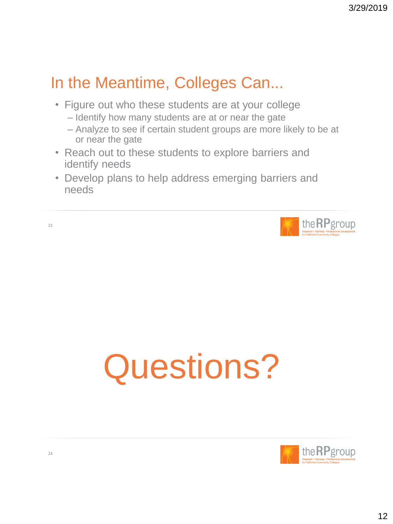## In the Meantime, Colleges Can...

- Figure out who these students are at your college
	- Identify how many students are at or near the gate
	- Analyze to see if certain student groups are more likely to be at or near the gate
- Reach out to these students to explore barriers and identify needs
- Develop plans to help address emerging barriers and needs

23



# Questions?